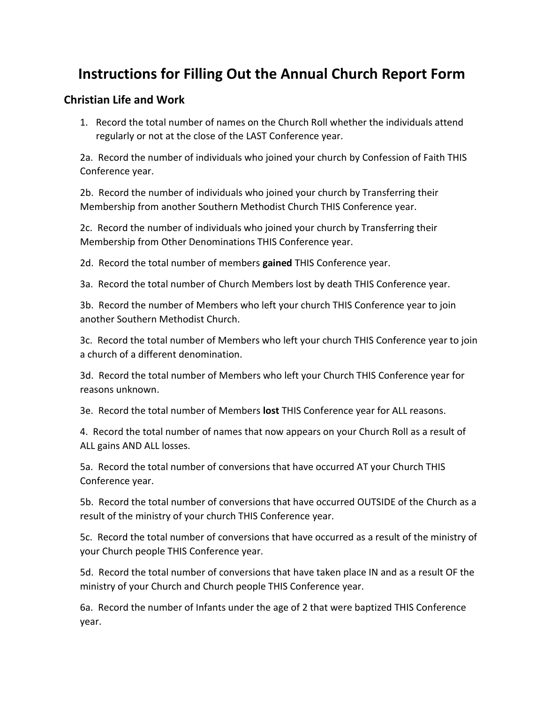# **Instructions for Filling Out the Annual Church Report Form**

### **Christian Life and Work**

1. Record the total number of names on the Church Roll whether the individuals attend regularly or not at the close of the LAST Conference year.

2a. Record the number of individuals who joined your church by Confession of Faith THIS Conference year.

2b. Record the number of individuals who joined your church by Transferring their Membership from another Southern Methodist Church THIS Conference year.

2c. Record the number of individuals who joined your church by Transferring their Membership from Other Denominations THIS Conference year.

2d. Record the total number of members **gained** THIS Conference year.

3a. Record the total number of Church Members lost by death THIS Conference year.

3b. Record the number of Members who left your church THIS Conference year to join another Southern Methodist Church.

3c. Record the total number of Members who left your church THIS Conference year to join a church of a different denomination.

3d. Record the total number of Members who left your Church THIS Conference year for reasons unknown.

3e. Record the total number of Members **lost** THIS Conference year for ALL reasons.

4. Record the total number of names that now appears on your Church Roll as a result of ALL gains AND ALL losses.

5a. Record the total number of conversions that have occurred AT your Church THIS Conference year.

5b. Record the total number of conversions that have occurred OUTSIDE of the Church as a result of the ministry of your church THIS Conference year.

5c. Record the total number of conversions that have occurred as a result of the ministry of your Church people THIS Conference year.

5d. Record the total number of conversions that have taken place IN and as a result OF the ministry of your Church and Church people THIS Conference year.

6a. Record the number of Infants under the age of 2 that were baptized THIS Conference year.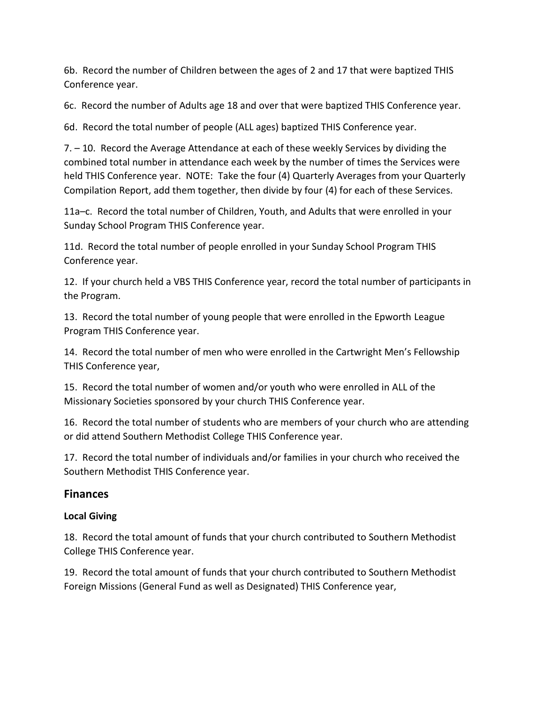6b. Record the number of Children between the ages of 2 and 17 that were baptized THIS Conference year.

6c. Record the number of Adults age 18 and over that were baptized THIS Conference year.

6d. Record the total number of people (ALL ages) baptized THIS Conference year.

7. – 10. Record the Average Attendance at each of these weekly Services by dividing the combined total number in attendance each week by the number of times the Services were held THIS Conference year. NOTE: Take the four (4) Quarterly Averages from your Quarterly Compilation Report, add them together, then divide by four (4) for each of these Services.

11a–c. Record the total number of Children, Youth, and Adults that were enrolled in your Sunday School Program THIS Conference year.

11d. Record the total number of people enrolled in your Sunday School Program THIS Conference year.

12. If your church held a VBS THIS Conference year, record the total number of participants in the Program.

13. Record the total number of young people that were enrolled in the Epworth League Program THIS Conference year.

14. Record the total number of men who were enrolled in the Cartwright Men's Fellowship THIS Conference year,

15. Record the total number of women and/or youth who were enrolled in ALL of the Missionary Societies sponsored by your church THIS Conference year.

16. Record the total number of students who are members of your church who are attending or did attend Southern Methodist College THIS Conference year.

17. Record the total number of individuals and/or families in your church who received the Southern Methodist THIS Conference year.

## **Finances**

#### **Local Giving**

18. Record the total amount of funds that your church contributed to Southern Methodist College THIS Conference year.

19. Record the total amount of funds that your church contributed to Southern Methodist Foreign Missions (General Fund as well as Designated) THIS Conference year,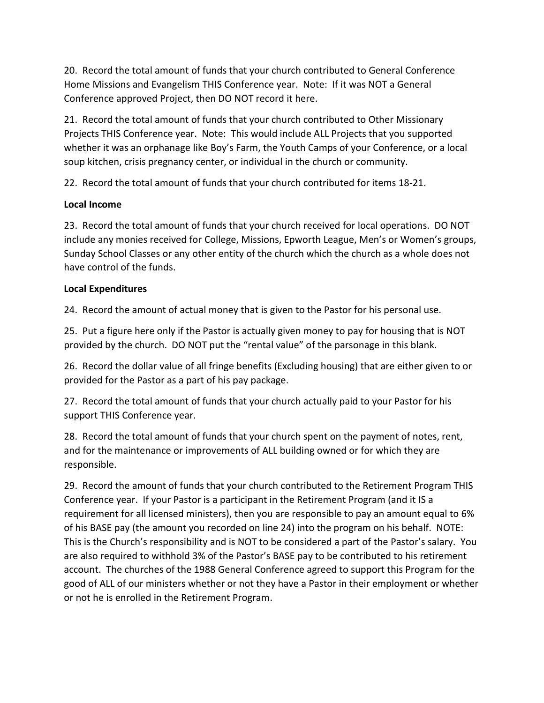20. Record the total amount of funds that your church contributed to General Conference Home Missions and Evangelism THIS Conference year. Note: If it was NOT a General Conference approved Project, then DO NOT record it here.

21. Record the total amount of funds that your church contributed to Other Missionary Projects THIS Conference year. Note: This would include ALL Projects that you supported whether it was an orphanage like Boy's Farm, the Youth Camps of your Conference, or a local soup kitchen, crisis pregnancy center, or individual in the church or community.

22. Record the total amount of funds that your church contributed for items 18-21.

#### **Local Income**

23. Record the total amount of funds that your church received for local operations. DO NOT include any monies received for College, Missions, Epworth League, Men's or Women's groups, Sunday School Classes or any other entity of the church which the church as a whole does not have control of the funds.

## **Local Expenditures**

24. Record the amount of actual money that is given to the Pastor for his personal use.

25. Put a figure here only if the Pastor is actually given money to pay for housing that is NOT provided by the church. DO NOT put the "rental value" of the parsonage in this blank.

26. Record the dollar value of all fringe benefits (Excluding housing) that are either given to or provided for the Pastor as a part of his pay package.

27. Record the total amount of funds that your church actually paid to your Pastor for his support THIS Conference year.

28. Record the total amount of funds that your church spent on the payment of notes, rent, and for the maintenance or improvements of ALL building owned or for which they are responsible.

29. Record the amount of funds that your church contributed to the Retirement Program THIS Conference year. If your Pastor is a participant in the Retirement Program (and it IS a requirement for all licensed ministers), then you are responsible to pay an amount equal to 6% of his BASE pay (the amount you recorded on line 24) into the program on his behalf. NOTE: This is the Church's responsibility and is NOT to be considered a part of the Pastor's salary. You are also required to withhold 3% of the Pastor's BASE pay to be contributed to his retirement account. The churches of the 1988 General Conference agreed to support this Program for the good of ALL of our ministers whether or not they have a Pastor in their employment or whether or not he is enrolled in the Retirement Program.